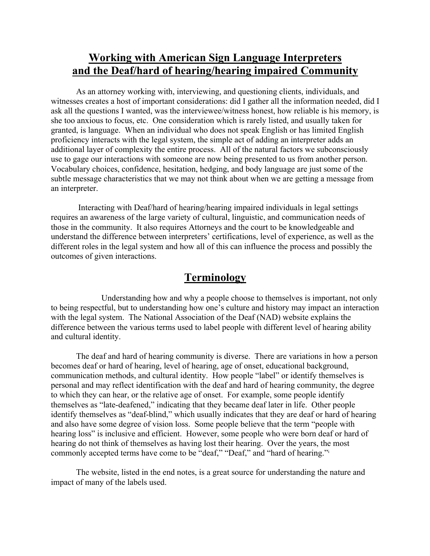# **Working with American Sign Language Interpreters and the Deaf/hard of hearing/hearing impaired Community**

As an attorney working with, interviewing, and questioning clients, individuals, and witnesses creates a host of important considerations: did I gather all the information needed, did I ask all the questions I wanted, was the interviewee/witness honest, how reliable is his memory, is she too anxious to focus, etc. One consideration which is rarely listed, and usually taken for granted, is language. When an individual who does not speak English or has limited English proficiency interacts with the legal system, the simple act of adding an interpreter adds an additional layer of complexity the entire process. All of the natural factors we subconsciously use to gage our interactions with someone are now being presented to us from another person. Vocabulary choices, confidence, hesitation, hedging, and body language are just some of the subtle message characteristics that we may not think about when we are getting a message from an interpreter.

Interacting with Deaf/hard of hearing/hearing impaired individuals in legal settings requires an awareness of the large variety of cultural, linguistic, and communication needs of those in the community. It also requires Attorneys and the court to be knowledgeable and understand the difference between interpreters' certifications, level of experience, as well as the different roles in the legal system and how all of this can influence the process and possibly the outcomes of given interactions.

# **Terminology**

Understanding how and why a people choose to themselves is important, not only to being respectful, but to understanding how one's culture and history may impact an interaction with the legal system. The National Association of the Deaf (NAD) website explains the difference between the various terms used to label people with different level of hearing ability and cultural identity.

The deaf and hard of hearing community is diverse. There are variations in how a person becomes deaf or hard of hearing, level of hearing, age of onset, educational background, communication methods, and cultural identity. How people "label" or identify themselves is personal and may reflect identification with the deaf and hard of hearing community, the degree to which they can hear, or the relative age of onset. For example, some people identify themselves as "late-deafened," indicating that they became deaf later in life. Other people identify themselves as "deaf-blind," which usually indicates that they are deaf or hard of hearing and also have some degree of vision loss. Some people believe that the term "people with hearing loss" is inclusive and efficient. However, some people who were born deaf or hard of hearing do not think of themselves as having lost their hearing. Over the years, the most commonly accepted terms have come to be "deaf," "Deaf," and "hard of hearing."i

The website, listed in the end notes, is a great source for understanding the nature and impact of many of the labels used.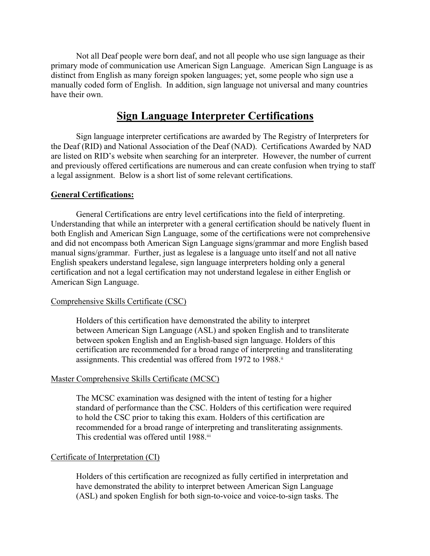Not all Deaf people were born deaf, and not all people who use sign language as their primary mode of communication use American Sign Language. American Sign Language is as distinct from English as many foreign spoken languages; yet, some people who sign use a manually coded form of English. In addition, sign language not universal and many countries have their own.

# **Sign Language Interpreter Certifications**

Sign language interpreter certifications are awarded by The Registry of Interpreters for the Deaf (RID) and National Association of the Deaf (NAD). Certifications Awarded by NAD are listed on RID's website when searching for an interpreter. However, the number of current and previously offered certifications are numerous and can create confusion when trying to staff a legal assignment. Below is a short list of some relevant certifications.

# **General Certifications:**

General Certifications are entry level certifications into the field of interpreting. Understanding that while an interpreter with a general certification should be natively fluent in both English and American Sign Language, some of the certifications were not comprehensive and did not encompass both American Sign Language signs/grammar and more English based manual signs/grammar. Further, just as legalese is a language unto itself and not all native English speakers understand legalese, sign language interpreters holding only a general certification and not a legal certification may not understand legalese in either English or American Sign Language.

#### Comprehensive Skills Certificate (CSC)

Holders of this certification have demonstrated the ability to interpret between American Sign Language (ASL) and spoken English and to transliterate between spoken English and an English-based sign language. Holders of this certification are recommended for a broad range of interpreting and transliterating assignments. This credential was offered from 1972 to 1988.<sup>ii</sup>

#### Master Comprehensive Skills Certificate (MCSC)

The MCSC examination was designed with the intent of testing for a higher standard of performance than the CSC. Holders of this certification were required to hold the CSC prior to taking this exam. Holders of this certification are recommended for a broad range of interpreting and transliterating assignments. This credential was offered until 1988.iii

#### Certificate of Interpretation (CI)

Holders of this certification are recognized as fully certified in interpretation and have demonstrated the ability to interpret between American Sign Language (ASL) and spoken English for both sign-to-voice and voice-to-sign tasks. The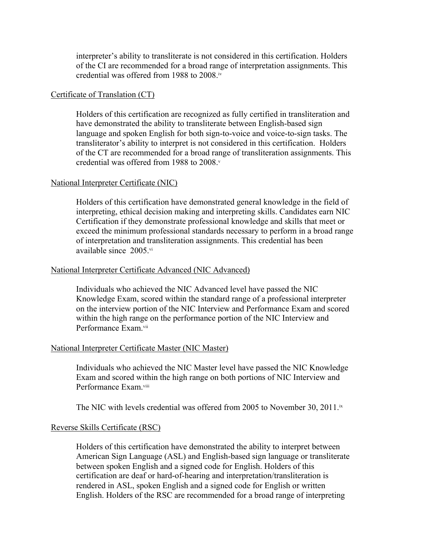interpreter's ability to transliterate is not considered in this certification. Holders of the CI are recommended for a broad range of interpretation assignments. This credential was offered from 1988 to 2008. iv

#### Certificate of Translation (CT)

Holders of this certification are recognized as fully certified in transliteration and have demonstrated the ability to transliterate between English-based sign language and spoken English for both sign-to-voice and voice-to-sign tasks. The transliterator's ability to interpret is not considered in this certification. Holders of the CT are recommended for a broad range of transliteration assignments. This credential was offered from 1988 to 2008.<sup>v</sup>

# National Interpreter Certificate (NIC)

Holders of this certification have demonstrated general knowledge in the field of interpreting, ethical decision making and interpreting skills. Candidates earn NIC Certification if they demonstrate professional knowledge and skills that meet or exceed the minimum professional standards necessary to perform in a broad range of interpretation and transliteration assignments. This credential has been available since 2005.vi

# National Interpreter Certificate Advanced (NIC Advanced)

Individuals who achieved the NIC Advanced level have passed the NIC Knowledge Exam, scored within the standard range of a professional interpreter on the interview portion of the NIC Interview and Performance Exam and scored within the high range on the performance portion of the NIC Interview and Performance Exam.<sup>vii</sup>

#### National Interpreter Certificate Master (NIC Master)

Individuals who achieved the NIC Master level have passed the NIC Knowledge Exam and scored within the high range on both portions of NIC Interview and Performance Exam.<sup>viii</sup>

The NIC with levels credential was offered from 2005 to November 30, 2011.<sup>ix</sup>

# Reverse Skills Certificate (RSC)

Holders of this certification have demonstrated the ability to interpret between American Sign Language (ASL) and English-based sign language or transliterate between spoken English and a signed code for English. Holders of this certification are deaf or hard-of-hearing and interpretation/transliteration is rendered in ASL, spoken English and a signed code for English or written English. Holders of the RSC are recommended for a broad range of interpreting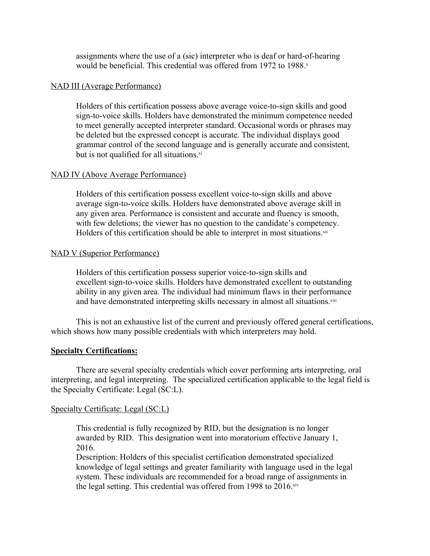assignments where the use of a (sic) interpreter who is deaf or hard-of-hearing would be beneficial. This credential was offered from 1972 to 1988.x

# NAD III (Average Performance)

Holders of this certification possess above average voice-to-sign skills and good sign-to-voice skills. Holders have demonstrated the minimum competence needed to meet generally accepted interpreter standard. Occasional words or phrases may be deleted but the expressed concept is accurate. The individual displays good grammar control of the second language and is generally accurate and consistent, but is not qualified for all situations.<sup>xi</sup>

# NAD IV (Above Average Performance)

Holders of this certification possess excellent voice-to-sign skills and above average sign-to-voice skills. Holders have demonstrated above average skill in any given area. Performance is consistent and accurate and fluency is smooth, with few deletions; the viewer has no question to the candidate's competency. Holders of this certification should be able to interpret in most situations.<sup>xii</sup>

# NAD V (Superior Performance)

Holders of this certification possess superior voice-to-sign skills and excellent sign-to-voice skills. Holders have demonstrated excellent to outstanding ability in any given area. The individual had minimum flaws in their performance and have demonstrated interpreting skills necessary in almost all situations.<sup>xiii</sup>

This is not an exhaustive list of the current and previously offered general certifications, which shows how many possible credentials with which interpreters may hold.

# **Specialty Certifications:**

There are several specialty credentials which cover performing arts interpreting, oral interpreting, and legal interpreting. The specialized certification applicable to the legal field is the Specialty Certificate: Legal (SC:L).

#### Specialty Certificate: Legal (SC:L)

This credential is fully recognized by RID, but the designation is no longer awarded by RID. This designation went into moratorium effective January 1, 2016.

Description: Holders of this specialist certification demonstrated specialized knowledge of legal settings and greater familiarity with language used in the legal system. These individuals are recommended for a broad range of assignments in the legal setting. This credential was offered from 1998 to 2016.xiv